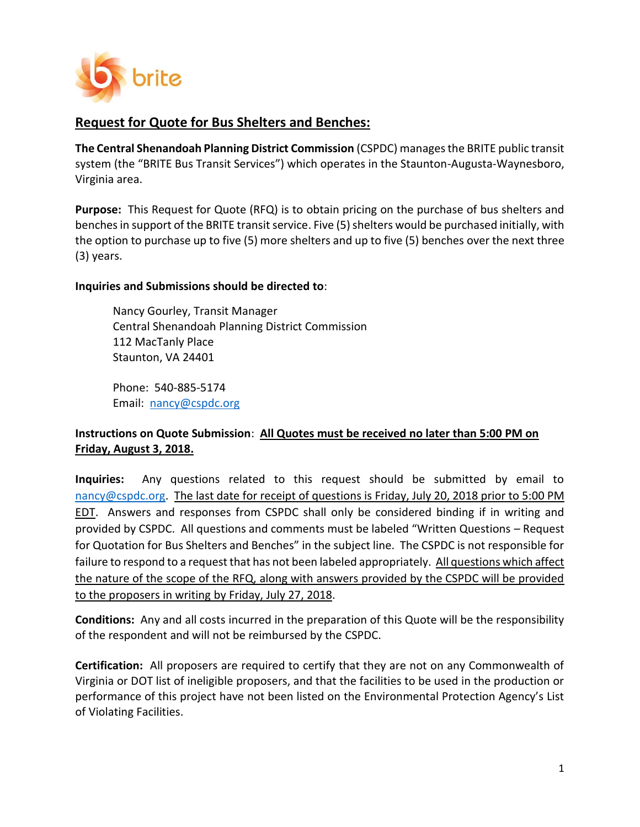

# **Request for Quote for Bus Shelters and Benches:**

**The Central Shenandoah Planning District Commission** (CSPDC) managesthe BRITE public transit system (the "BRITE Bus Transit Services") which operates in the Staunton-Augusta-Waynesboro, Virginia area.

**Purpose:** This Request for Quote (RFQ) is to obtain pricing on the purchase of bus shelters and benches in support of the BRITE transit service. Five (5) shelters would be purchased initially, with the option to purchase up to five (5) more shelters and up to five (5) benches over the next three (3) years.

## **Inquiries and Submissions should be directed to**:

Nancy Gourley, Transit Manager Central Shenandoah Planning District Commission 112 MacTanly Place Staunton, VA 24401

Phone: 540-885-5174 Email: [nancy@cspdc.org](mailto:nancy@cspdc.org)

## **Instructions on Quote Submission**: **All Quotes must be received no later than 5:00 PM on Friday, August 3, 2018.**

**Inquiries:** Any questions related to this request should be submitted by email to [nancy@cspdc.org.](mailto:nancy@cspdc.org) The last date for receipt of questions is Friday, July 20, 2018 prior to 5:00 PM EDT. Answers and responses from CSPDC shall only be considered binding if in writing and provided by CSPDC. All questions and comments must be labeled "Written Questions – Request for Quotation for Bus Shelters and Benches" in the subject line. The CSPDC is not responsible for failure to respond to a request that has not been labeled appropriately. All questions which affect the nature of the scope of the RFQ, along with answers provided by the CSPDC will be provided to the proposers in writing by Friday, July 27, 2018.

**Conditions:** Any and all costs incurred in the preparation of this Quote will be the responsibility of the respondent and will not be reimbursed by the CSPDC.

**Certification:** All proposers are required to certify that they are not on any Commonwealth of Virginia or DOT list of ineligible proposers, and that the facilities to be used in the production or performance of this project have not been listed on the Environmental Protection Agency's List of Violating Facilities.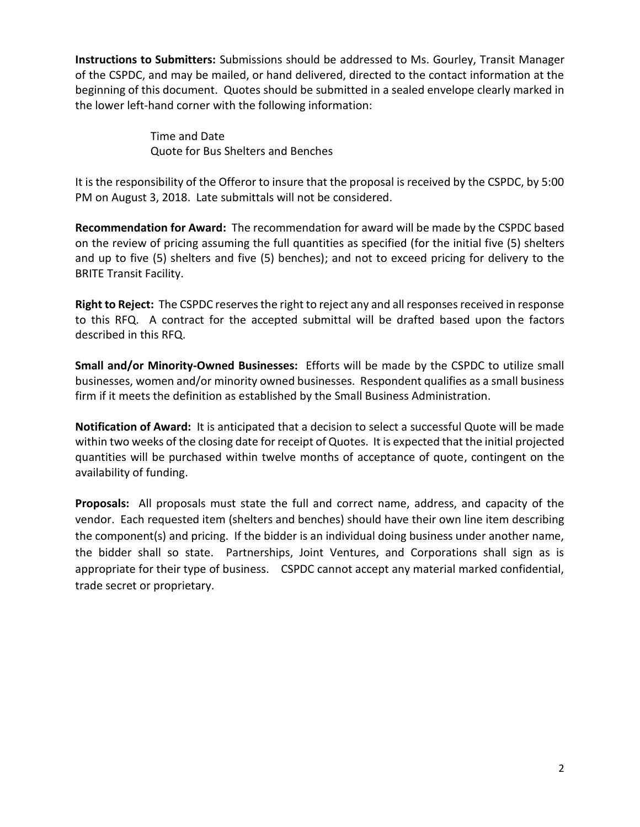**Instructions to Submitters:** Submissions should be addressed to Ms. Gourley, Transit Manager of the CSPDC, and may be mailed, or hand delivered, directed to the contact information at the beginning of this document. Quotes should be submitted in a sealed envelope clearly marked in the lower left-hand corner with the following information:

> Time and Date Quote for Bus Shelters and Benches

It is the responsibility of the Offeror to insure that the proposal is received by the CSPDC, by 5:00 PM on August 3, 2018. Late submittals will not be considered.

**Recommendation for Award:** The recommendation for award will be made by the CSPDC based on the review of pricing assuming the full quantities as specified (for the initial five (5) shelters and up to five (5) shelters and five (5) benches); and not to exceed pricing for delivery to the BRITE Transit Facility.

**Right to Reject:** The CSPDC reserves the right to reject any and all responses received in response to this RFQ. A contract for the accepted submittal will be drafted based upon the factors described in this RFQ.

**Small and/or Minority-Owned Businesses:** Efforts will be made by the CSPDC to utilize small businesses, women and/or minority owned businesses. Respondent qualifies as a small business firm if it meets the definition as established by the Small Business Administration.

**Notification of Award:** It is anticipated that a decision to select a successful Quote will be made within two weeks of the closing date for receipt of Quotes. It is expected that the initial projected quantities will be purchased within twelve months of acceptance of quote, contingent on the availability of funding.

**Proposals:** All proposals must state the full and correct name, address, and capacity of the vendor. Each requested item (shelters and benches) should have their own line item describing the component(s) and pricing. If the bidder is an individual doing business under another name, the bidder shall so state. Partnerships, Joint Ventures, and Corporations shall sign as is appropriate for their type of business. CSPDC cannot accept any material marked confidential, trade secret or proprietary.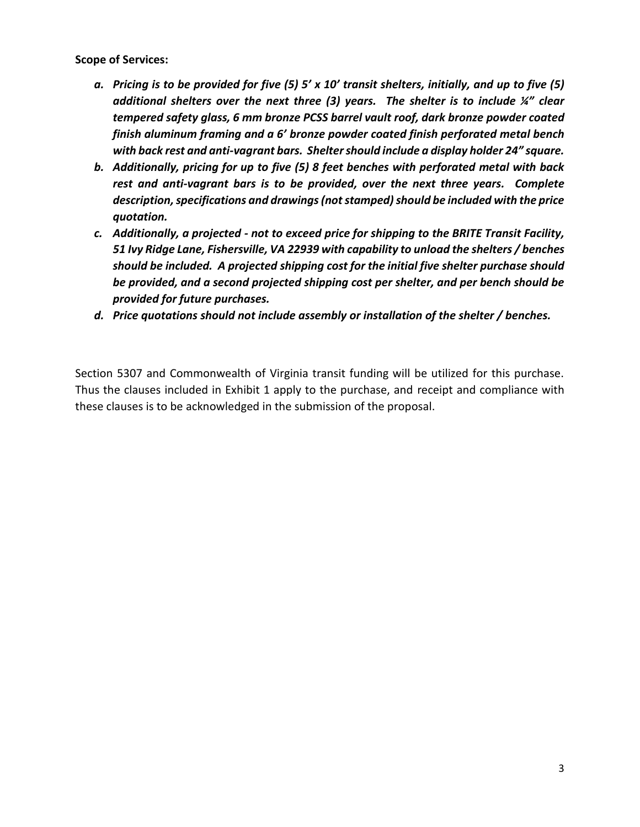**Scope of Services:** 

- *a. Pricing is to be provided for five (5) 5' x 10' transit shelters, initially, and up to five (5) additional shelters over the next three (3) years. The shelter is to include ¼" clear tempered safety glass, 6 mm bronze PCSS barrel vault roof, dark bronze powder coated finish aluminum framing and a 6' bronze powder coated finish perforated metal bench with back rest and anti-vagrant bars. Shelter should include a display holder 24" square.*
- *b. Additionally, pricing for up to five (5) 8 feet benches with perforated metal with back rest and anti-vagrant bars is to be provided, over the next three years. Complete description, specifications and drawings (not stamped) should be included with the price quotation.*
- *c. Additionally, a projected - not to exceed price for shipping to the BRITE Transit Facility, 51 Ivy Ridge Lane, Fishersville, VA 22939 with capability to unload the shelters / benches should be included. A projected shipping cost for the initial five shelter purchase should be provided, and a second projected shipping cost per shelter, and per bench should be provided for future purchases.*
- *d. Price quotations should not include assembly or installation of the shelter / benches.*

Section 5307 and Commonwealth of Virginia transit funding will be utilized for this purchase. Thus the clauses included in Exhibit 1 apply to the purchase, and receipt and compliance with these clauses is to be acknowledged in the submission of the proposal.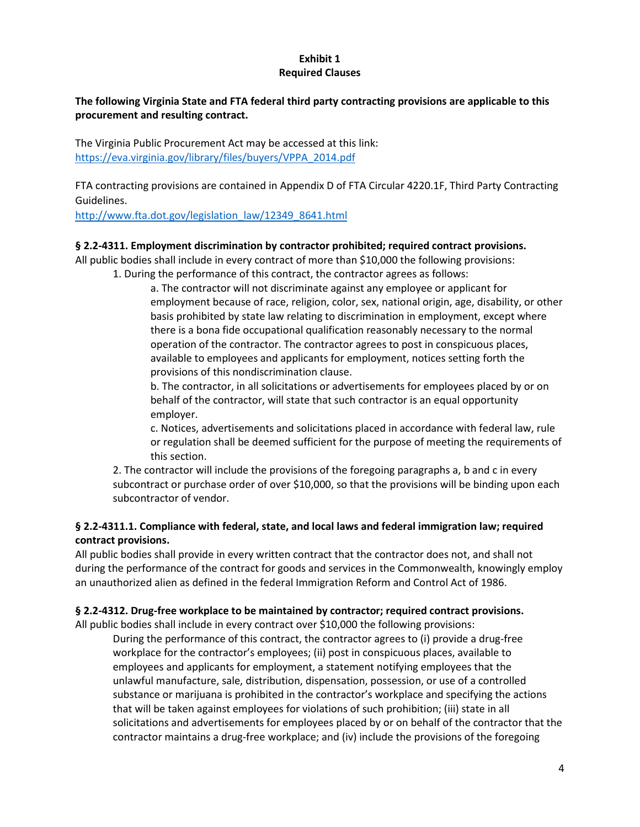#### **Exhibit 1 Required Clauses**

### **The following Virginia State and FTA federal third party contracting provisions are applicable to this procurement and resulting contract.**

The Virginia Public Procurement Act may be accessed at this link: [https://eva.virginia.gov/library/files/buyers/VPPA\\_2014.pdf](https://eva.virginia.gov/library/files/buyers/VPPA_2014.pdf)

FTA contracting provisions are contained in Appendix D of FTA Circular 4220.1F, Third Party Contracting Guidelines.

[http://www.fta.dot.gov/legislation\\_law/12349\\_8641.html](http://www.fta.dot.gov/legislation_law/12349_8641.html)

#### **§ 2.2-4311. Employment discrimination by contractor prohibited; required contract provisions.**

All public bodies shall include in every contract of more than \$10,000 the following provisions: 1. During the performance of this contract, the contractor agrees as follows:

a. The contractor will not discriminate against any employee or applicant for employment because of race, religion, color, sex, national origin, age, disability, or other basis prohibited by state law relating to discrimination in employment, except where there is a bona fide occupational qualification reasonably necessary to the normal operation of the contractor. The contractor agrees to post in conspicuous places, available to employees and applicants for employment, notices setting forth the provisions of this nondiscrimination clause.

b. The contractor, in all solicitations or advertisements for employees placed by or on behalf of the contractor, will state that such contractor is an equal opportunity employer.

c. Notices, advertisements and solicitations placed in accordance with federal law, rule or regulation shall be deemed sufficient for the purpose of meeting the requirements of this section.

2. The contractor will include the provisions of the foregoing paragraphs a, b and c in every subcontract or purchase order of over \$10,000, so that the provisions will be binding upon each subcontractor of vendor.

#### **§ 2.2-4311.1. Compliance with federal, state, and local laws and federal immigration law; required contract provisions.**

All public bodies shall provide in every written contract that the contractor does not, and shall not during the performance of the contract for goods and services in the Commonwealth, knowingly employ an unauthorized alien as defined in the federal Immigration Reform and Control Act of 1986.

#### **§ 2.2-4312. Drug-free workplace to be maintained by contractor; required contract provisions.**

All public bodies shall include in every contract over \$10,000 the following provisions:

During the performance of this contract, the contractor agrees to (i) provide a drug-free workplace for the contractor's employees; (ii) post in conspicuous places, available to employees and applicants for employment, a statement notifying employees that the unlawful manufacture, sale, distribution, dispensation, possession, or use of a controlled substance or marijuana is prohibited in the contractor's workplace and specifying the actions that will be taken against employees for violations of such prohibition; (iii) state in all solicitations and advertisements for employees placed by or on behalf of the contractor that the contractor maintains a drug-free workplace; and (iv) include the provisions of the foregoing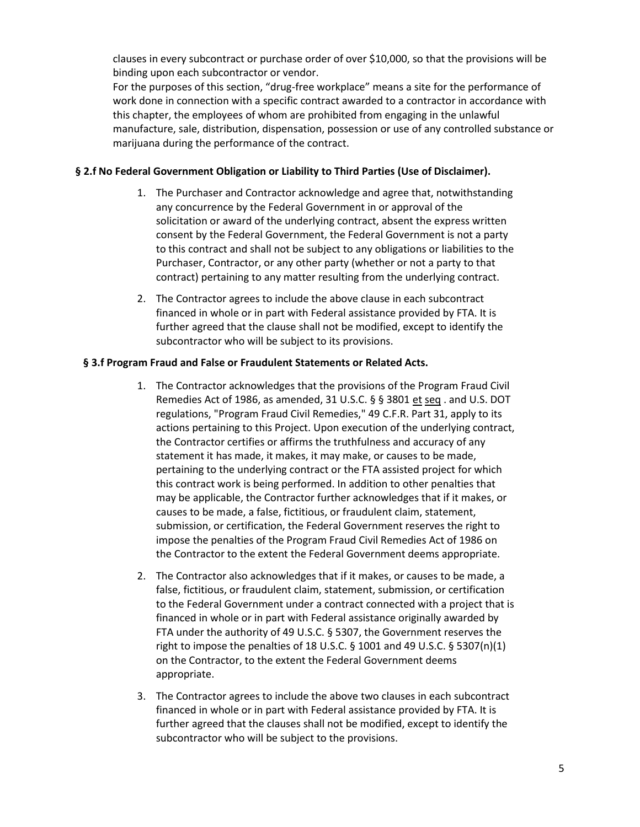clauses in every subcontract or purchase order of over \$10,000, so that the provisions will be binding upon each subcontractor or vendor.

For the purposes of this section, "drug-free workplace" means a site for the performance of work done in connection with a specific contract awarded to a contractor in accordance with this chapter, the employees of whom are prohibited from engaging in the unlawful manufacture, sale, distribution, dispensation, possession or use of any controlled substance or marijuana during the performance of the contract.

#### **§ 2.f No Federal Government Obligation or Liability to Third Parties (Use of Disclaimer).**

- 1. The Purchaser and Contractor acknowledge and agree that, notwithstanding any concurrence by the Federal Government in or approval of the solicitation or award of the underlying contract, absent the express written consent by the Federal Government, the Federal Government is not a party to this contract and shall not be subject to any obligations or liabilities to the Purchaser, Contractor, or any other party (whether or not a party to that contract) pertaining to any matter resulting from the underlying contract.
- 2. The Contractor agrees to include the above clause in each subcontract financed in whole or in part with Federal assistance provided by FTA. It is further agreed that the clause shall not be modified, except to identify the subcontractor who will be subject to its provisions.

#### **§ 3.f Program Fraud and False or Fraudulent Statements or Related Acts.**

- 1. The Contractor acknowledges that the provisions of the Program Fraud Civil Remedies Act of 1986, as amended, 31 U.S.C. § § 3801 et seq . and U.S. DOT regulations, "Program Fraud Civil Remedies," 49 C.F.R. Part 31, apply to its actions pertaining to this Project. Upon execution of the underlying contract, the Contractor certifies or affirms the truthfulness and accuracy of any statement it has made, it makes, it may make, or causes to be made, pertaining to the underlying contract or the FTA assisted project for which this contract work is being performed. In addition to other penalties that may be applicable, the Contractor further acknowledges that if it makes, or causes to be made, a false, fictitious, or fraudulent claim, statement, submission, or certification, the Federal Government reserves the right to impose the penalties of the Program Fraud Civil Remedies Act of 1986 on the Contractor to the extent the Federal Government deems appropriate.
- 2. The Contractor also acknowledges that if it makes, or causes to be made, a false, fictitious, or fraudulent claim, statement, submission, or certification to the Federal Government under a contract connected with a project that is financed in whole or in part with Federal assistance originally awarded by FTA under the authority of 49 U.S.C. § 5307, the Government reserves the right to impose the penalties of 18 U.S.C.  $\S$  1001 and 49 U.S.C.  $\S$  5307(n)(1) on the Contractor, to the extent the Federal Government deems appropriate.
- 3. The Contractor agrees to include the above two clauses in each subcontract financed in whole or in part with Federal assistance provided by FTA. It is further agreed that the clauses shall not be modified, except to identify the subcontractor who will be subject to the provisions.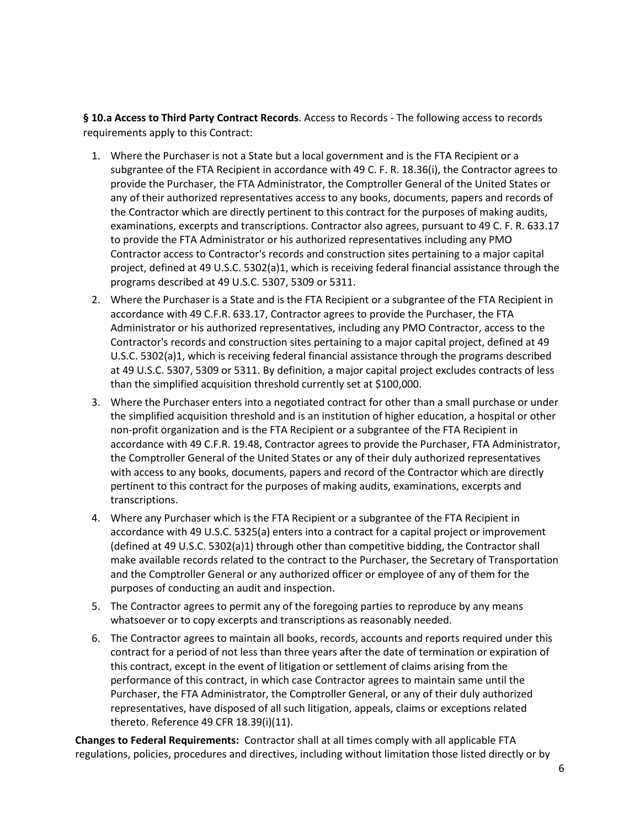**§ 10.a Access to Third Party Contract Records**. Access to Records - The following access to records requirements apply to this Contract:

- 1. Where the Purchaser is not a State but a local government and is the FTA Recipient or a subgrantee of the FTA Recipient in accordance with 49 C. F. R. 18.36(i), the Contractor agrees to provide the Purchaser, the FTA Administrator, the Comptroller General of the United States or any of their authorized representatives access to any books, documents, papers and records of the Contractor which are directly pertinent to this contract for the purposes of making audits, examinations, excerpts and transcriptions. Contractor also agrees, pursuant to 49 C. F. R. 633.17 to provide the FTA Administrator or his authorized representatives including any PMO Contractor access to Contractor's records and construction sites pertaining to a major capital project, defined at 49 U.S.C. 5302(a)1, which is receiving federal financial assistance through the programs described at 49 U.S.C. 5307, 5309 or 5311.
- 2. Where the Purchaser is a State and is the FTA Recipient or a subgrantee of the FTA Recipient in accordance with 49 C.F.R. 633.17, Contractor agrees to provide the Purchaser, the FTA Administrator or his authorized representatives, including any PMO Contractor, access to the Contractor's records and construction sites pertaining to a major capital project, defined at 49 U.S.C. 5302(a)1, which is receiving federal financial assistance through the programs described at 49 U.S.C. 5307, 5309 or 5311. By definition, a major capital project excludes contracts of less than the simplified acquisition threshold currently set at \$100,000.
- 3. Where the Purchaser enters into a negotiated contract for other than a small purchase or under the simplified acquisition threshold and is an institution of higher education, a hospital or other non-profit organization and is the FTA Recipient or a subgrantee of the FTA Recipient in accordance with 49 C.F.R. 19.48, Contractor agrees to provide the Purchaser, FTA Administrator, the Comptroller General of the United States or any of their duly authorized representatives with access to any books, documents, papers and record of the Contractor which are directly pertinent to this contract for the purposes of making audits, examinations, excerpts and transcriptions.
- 4. Where any Purchaser which is the FTA Recipient or a subgrantee of the FTA Recipient in accordance with 49 U.S.C. 5325(a) enters into a contract for a capital project or improvement (defined at 49 U.S.C. 5302(a)1) through other than competitive bidding, the Contractor shall make available records related to the contract to the Purchaser, the Secretary of Transportation and the Comptroller General or any authorized officer or employee of any of them for the purposes of conducting an audit and inspection.
- 5. The Contractor agrees to permit any of the foregoing parties to reproduce by any means whatsoever or to copy excerpts and transcriptions as reasonably needed.
- 6. The Contractor agrees to maintain all books, records, accounts and reports required under this contract for a period of not less than three years after the date of termination or expiration of this contract, except in the event of litigation or settlement of claims arising from the performance of this contract, in which case Contractor agrees to maintain same until the Purchaser, the FTA Administrator, the Comptroller General, or any of their duly authorized representatives, have disposed of all such litigation, appeals, claims or exceptions related thereto. Reference 49 CFR 18.39(i)(11).

**Changes to Federal Requirements:** Contractor shall at all times comply with all applicable FTA regulations, policies, procedures and directives, including without limitation those listed directly or by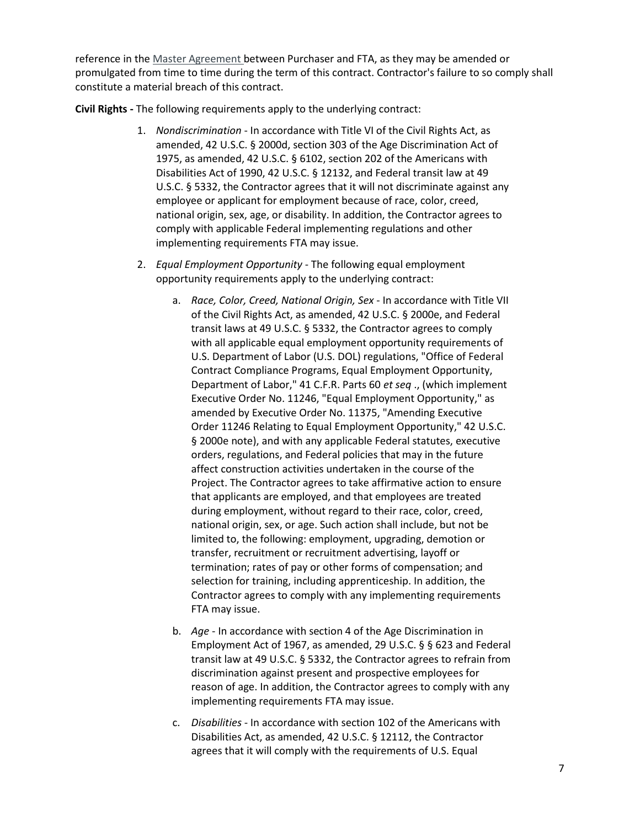reference in the [Master Agreement b](http://www.fta.dot.gov/3162.html)etween Purchaser and FTA, as they may be amended or promulgated from time to time during the term of this contract. Contractor's failure to so comply shall constitute a material breach of this contract.

**Civil Rights -** The following requirements apply to the underlying contract:

- 1. *Nondiscrimination* In accordance with Title VI of the Civil Rights Act, as amended, 42 U.S.C. § 2000d, section 303 of the Age Discrimination Act of 1975, as amended, 42 U.S.C. § 6102, section 202 of the Americans with Disabilities Act of 1990, 42 U.S.C. § 12132, and Federal transit law at 49 U.S.C. § 5332, the Contractor agrees that it will not discriminate against any employee or applicant for employment because of race, color, creed, national origin, sex, age, or disability. In addition, the Contractor agrees to comply with applicable Federal implementing regulations and other implementing requirements FTA may issue.
- 2. *Equal Employment Opportunity* The following equal employment opportunity requirements apply to the underlying contract:
	- a. *Race, Color, Creed, National Origin, Sex* In accordance with Title VII of the Civil Rights Act, as amended, 42 U.S.C. § 2000e, and Federal transit laws at 49 U.S.C. § 5332, the Contractor agrees to comply with all applicable equal employment opportunity requirements of U.S. Department of Labor (U.S. DOL) regulations, "Office of Federal Contract Compliance Programs, Equal Employment Opportunity, Department of Labor," 41 C.F.R. Parts 60 *et seq* ., (which implement Executive Order No. 11246, "Equal Employment Opportunity," as amended by Executive Order No. 11375, "Amending Executive Order 11246 Relating to Equal Employment Opportunity," 42 U.S.C. § 2000e note), and with any applicable Federal statutes, executive orders, regulations, and Federal policies that may in the future affect construction activities undertaken in the course of the Project. The Contractor agrees to take affirmative action to ensure that applicants are employed, and that employees are treated during employment, without regard to their race, color, creed, national origin, sex, or age. Such action shall include, but not be limited to, the following: employment, upgrading, demotion or transfer, recruitment or recruitment advertising, layoff or termination; rates of pay or other forms of compensation; and selection for training, including apprenticeship. In addition, the Contractor agrees to comply with any implementing requirements FTA may issue.
	- b. *Age* In accordance with section 4 of the Age Discrimination in Employment Act of 1967, as amended, 29 U.S.C. § § 623 and Federal transit law at 49 U.S.C. § 5332, the Contractor agrees to refrain from discrimination against present and prospective employees for reason of age. In addition, the Contractor agrees to comply with any implementing requirements FTA may issue.
	- c. *Disabilities* In accordance with section 102 of the Americans with Disabilities Act, as amended, 42 U.S.C. § 12112, the Contractor agrees that it will comply with the requirements of U.S. Equal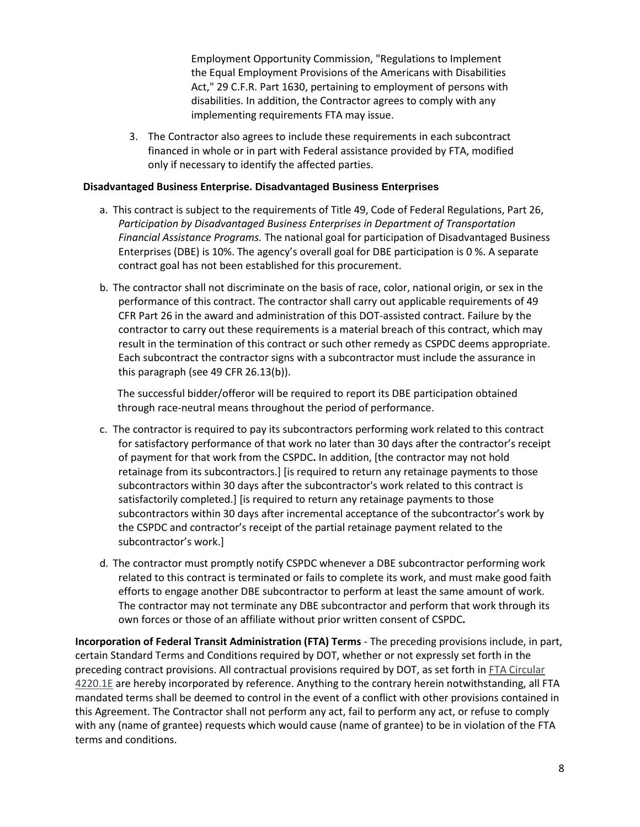Employment Opportunity Commission, "Regulations to Implement the Equal Employment Provisions of the Americans with Disabilities Act," 29 C.F.R. Part 1630, pertaining to employment of persons with disabilities. In addition, the Contractor agrees to comply with any implementing requirements FTA may issue.

3. The Contractor also agrees to include these requirements in each subcontract financed in whole or in part with Federal assistance provided by FTA, modified only if necessary to identify the affected parties.

#### **Disadvantaged Business Enterprise. Disadvantaged Business Enterprises**

- a. This contract is subject to the requirements of Title 49, Code of Federal Regulations, Part 26, *Participation by Disadvantaged Business Enterprises in Department of Transportation Financial Assistance Programs.* The national goal for participation of Disadvantaged Business Enterprises (DBE) is 10%. The agency's overall goal for DBE participation is 0 %. A separate contract goal has not been established for this procurement.
- b. The contractor shall not discriminate on the basis of race, color, national origin, or sex in the performance of this contract. The contractor shall carry out applicable requirements of 49 CFR Part 26 in the award and administration of this DOT-assisted contract. Failure by the contractor to carry out these requirements is a material breach of this contract, which may result in the termination of this contract or such other remedy as CSPDC deems appropriate. Each subcontract the contractor signs with a subcontractor must include the assurance in this paragraph (see 49 CFR 26.13(b)).

The successful bidder/offeror will be required to report its DBE participation obtained through race-neutral means throughout the period of performance.

- c. The contractor is required to pay its subcontractors performing work related to this contract for satisfactory performance of that work no later than 30 days after the contractor's receipt of payment for that work from the CSPDC**.** In addition, [the contractor may not hold retainage from its subcontractors.] [is required to return any retainage payments to those subcontractors within 30 days after the subcontractor's work related to this contract is satisfactorily completed.] [is required to return any retainage payments to those subcontractors within 30 days after incremental acceptance of the subcontractor's work by the CSPDC and contractor's receipt of the partial retainage payment related to the subcontractor's work.]
- d. The contractor must promptly notify CSPDC whenever a DBE subcontractor performing work related to this contract is terminated or fails to complete its work, and must make good faith efforts to engage another DBE subcontractor to perform at least the same amount of work. The contractor may not terminate any DBE subcontractor and perform that work through its own forces or those of an affiliate without prior written consent of CSPDC**.**

**Incorporation of Federal Transit Administration (FTA) Terms** - The preceding provisions include, in part, certain Standard Terms and Conditions required by DOT, whether or not expressly set forth in the preceding contract provisions. All contractual provisions required by DOT, as set forth in **FTA Circular** [4220.1E](http://www.fta.dot.gov/legislation_law/12349_4063.html) are hereby incorporated by reference. Anything to the contrary herein notwithstanding, all FTA mandated terms shall be deemed to control in the event of a conflict with other provisions contained in this Agreement. The Contractor shall not perform any act, fail to perform any act, or refuse to comply with any (name of grantee) requests which would cause (name of grantee) to be in violation of the FTA terms and conditions.